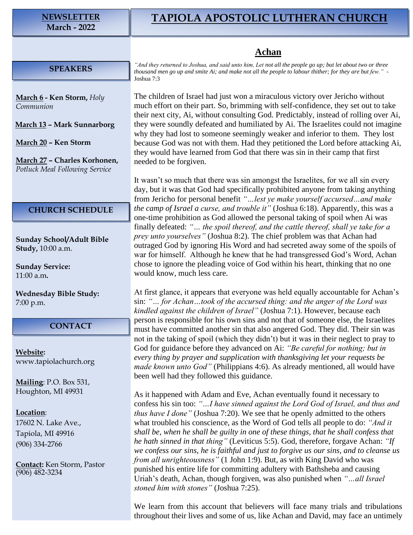#### **NEWSLETTER March - 2022**

# **TAPIOLA APOSTOLIC LUTHERAN CHURCH**

# **Achan**

#### **SPEAKERS**

**March 6 - Ken Storm,** *Holy Communion*

**March 13 – Mark Sunnarborg**

**March 20 – Ken Storm**

**March 27 – Charles Korhonen,** *Potluck Meal Following Service*

### **CHURCH SCHEDULE**

**Sunday School/Adult Bible Study,** 10:00 a.m.

**Sunday Service:** 11:00 a.m**.**

**Wednesday Bible Study:** 7:00 p.m.

## **CONTACT**

**Website:**  [www.tapiolachurch.org](http://www.tapiolachurch.or/)

**Mailing**: P.O. Box 531, Houghton, MI 49931

#### **Location**:

17602 N. Lake Ave., Tapiola, MI 49916 (906) 334-2766

**Contact:** Ken Storm, Pastor (906) 482-3234

*"And they returned to Joshua, and said unto him, Let not all the people go up; but let about two or three thousand men go up and smite Ai; and make not all the people to labour thither; for they are but few."* - Joshua 7:3

The children of Israel had just won a miraculous victory over Jericho without much effort on their part. So, brimming with self-confidence, they set out to take their next city, Ai, without consulting God. Predictably, instead of rolling over Ai, they were soundly defeated and humiliated by Ai. The Israelites could not imagine why they had lost to someone seemingly weaker and inferior to them. They lost because God was not with them. Had they petitioned the Lord before attacking Ai, they would have learned from God that there was sin in their camp that first needed to be forgiven.

It wasn't so much that there was sin amongst the Israelites, for we all sin every day, but it was that God had specifically prohibited anyone from taking anything from Jericho for personal benefit *"…lest ye make yourself accursed…and make the camp of Israel a curse, and trouble it"* (Joshua 6:18). Apparently, this was a one-time prohibition as God allowed the personal taking of spoil when Ai was finally defeated: *"… the spoil thereof, and the cattle thereof, shall ye take for a prey unto yourselves"* (Joshua 8:2). The chief problem was that Achan had outraged God by ignoring His Word and had secreted away some of the spoils of war for himself. Although he knew that he had transgressed God's Word, Achan chose to ignore the pleading voice of God within his heart, thinking that no one would know, much less care.

At first glance, it appears that everyone was held equally accountable for Achan's sin: *"… for Achan…took of the accursed thing: and the anger of the Lord was kindled against the children of Israel"* (Joshua 7:1). However, because each person is responsible for his own sins and not that of someone else, the Israelites must have committed another sin that also angered God. They did. Their sin was not in the taking of spoil (which they didn't) but it was in their neglect to pray to God for guidance before they advanced on Ai: *"Be careful for nothing; but in every thing by prayer and supplication with thanksgiving let your requests be made known unto God"* (Philippians 4:6). As already mentioned, all would have been well had they followed this guidance.

As it happened with Adam and Eve, Achan eventually found it necessary to confess his sin too: *"…I have sinned against the Lord God of Israel, and thus and thus have I done"* (Joshua 7:20). We see that he openly admitted to the others what troubled his conscience, as the Word of God tells all people to do: *"And it shall be, when he shall be guilty in one of these things, that he shall confess that he hath sinned in that thing"* (Leviticus 5:5). God, therefore, forgave Achan: *"If we confess our sins, he is faithful and just to forgive us our sins, and to cleanse us from all unrighteousness"* (1 John 1:9). But, as with King David who was punished his entire life for committing adultery with Bathsheba and causing Uriah's death, Achan, though forgiven, was also punished when *"…all Israel stoned him with stones"* (Joshua 7:25).

We learn from this account that believers will face many trials and tribulations throughout their lives and some of us, like Achan and David, may face an untimely